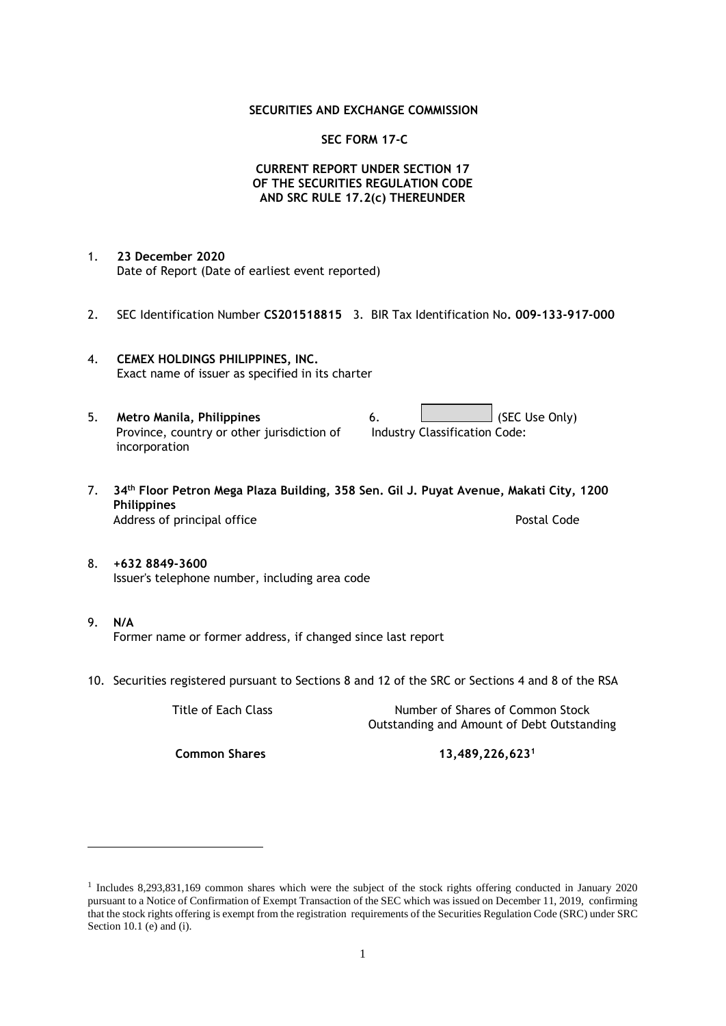#### **SECURITIES AND EXCHANGE COMMISSION**

#### **SEC FORM 17-C**

### **CURRENT REPORT UNDER SECTION 17 OF THE SECURITIES REGULATION CODE AND SRC RULE 17.2(c) THEREUNDER**

- 1. **23 December 2020** Date of Report (Date of earliest event reported)
- 2. SEC Identification Number **CS201518815** 3. BIR Tax Identification No**. 009-133-917-000**
- 4. **CEMEX HOLDINGS PHILIPPINES, INC.** Exact name of issuer as specified in its charter
- 5. **Metro Manila, Philippines** 6. **Consumers 6.** (SEC Use Only) Province, country or other jurisdiction of incorporation Industry Classification Code:
- 7. **34th Floor Petron Mega Plaza Building, 358 Sen. Gil J. Puyat Avenue, Makati City, 1200 Philippines** Address of principal office **Postal Code** Postal Code
- 8. **+632 8849-3600** Issuer's telephone number, including area code
- 9. **N/A** Former name or former address, if changed since last report
- 10. Securities registered pursuant to Sections 8 and 12 of the SRC or Sections 4 and 8 of the RSA

Title of Each Class Number of Shares of Common Stock Outstanding and Amount of Debt Outstanding

**Common Shares 13,489,226,623<sup>1</sup>**

<sup>1</sup> Includes 8,293,831,169 common shares which were the subject of the stock rights offering conducted in January 2020 pursuant to a Notice of Confirmation of Exempt Transaction of the SEC which was issued on December 11, 2019, confirming that the stock rights offering is exempt from the registration requirements of the Securities Regulation Code (SRC) under SRC Section 10.1 (e) and (i).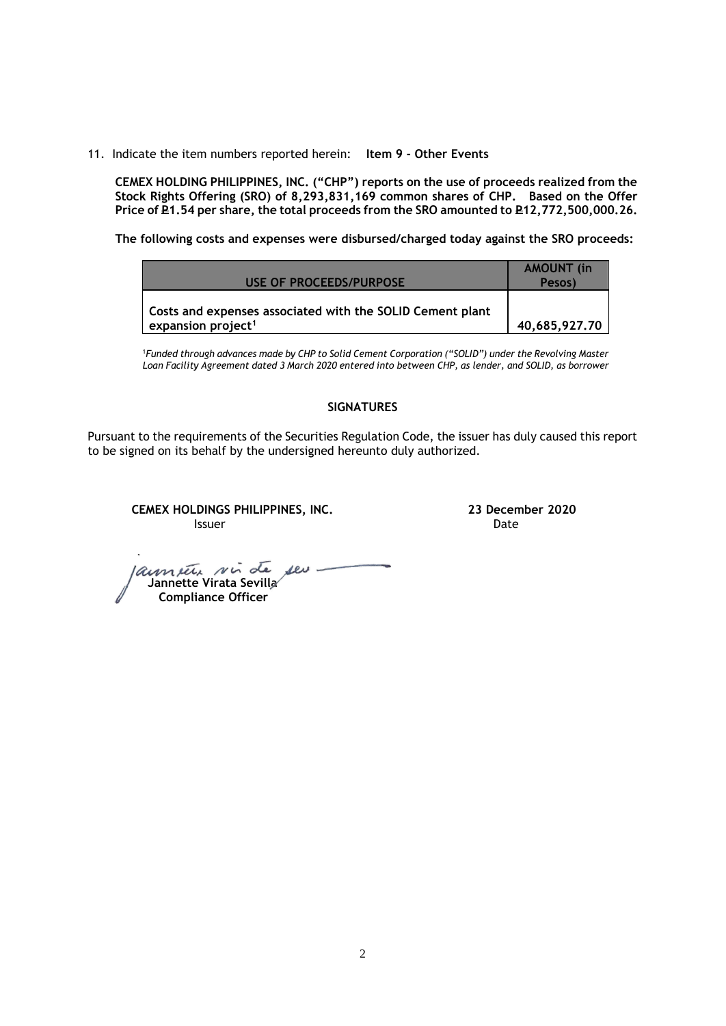11. Indicate the item numbers reported herein: **Item 9 - Other Events**

**CEMEX HOLDING PHILIPPINES, INC. ("CHP") reports on the use of proceeds realized from the Stock Rights Offering (SRO) of 8,293,831,169 common shares of CHP. Based on the Offer**  Price of **P1.54** per share, the total proceeds from the SRO amounted to P12,772,500,000.26.

**The following costs and expenses were disbursed/charged today against the SRO proceeds:**

| USE OF PROCEEDS/PURPOSE                                                                     | <b>AMOUNT</b> (in<br>Pesos) |
|---------------------------------------------------------------------------------------------|-----------------------------|
| Costs and expenses associated with the SOLID Cement plant<br>expansion project <sup>1</sup> | 40,685,927.70               |

<sup>1</sup>*Funded through advances made by CHP to Solid Cement Corporation ("SOLID") under the Revolving Master Loan Facility Agreement dated 3 March 2020 entered into between CHP, as lender, and SOLID, as borrower*

## **SIGNATURES**

Pursuant to the requirements of the Securities Regulation Code, the issuer has duly caused this report to be signed on its behalf by the undersigned hereunto duly authorized.

**CEMEX HOLDINGS PHILIPPINES, INC. 23 December 2020 Issuer Community Community Community** Community Community Community Community Community Community Community Comm

 **Jannette Virata Sevilla Compliance Officer**